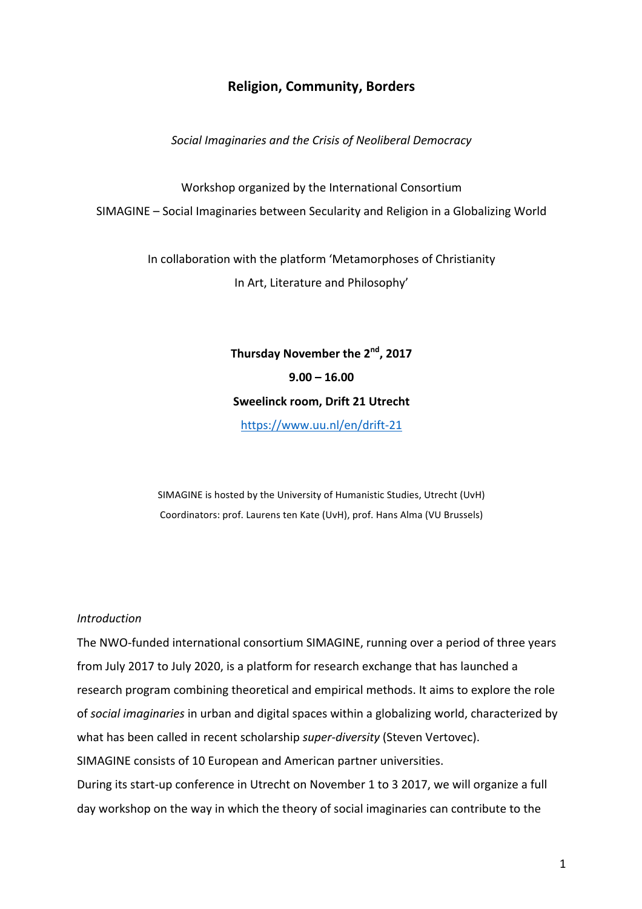## **Religion, Community, Borders**

Social Imaginaries and the Crisis of Neoliberal Democracy

Workshop organized by the International Consortium SIMAGINE - Social Imaginaries between Secularity and Religion in a Globalizing World

> In collaboration with the platform 'Metamorphoses of Christianity In Art, Literature and Philosophy'

# Thursday November the 2<sup>nd</sup>, 2017 **9.00 – 16.00 Sweelinck room, Drift 21 Utrecht** https://www.uu.nl/en/drift-21

SIMAGINE is hosted by the University of Humanistic Studies, Utrecht (UvH) Coordinators: prof. Laurens ten Kate (UvH), prof. Hans Alma (VU Brussels)

#### *Introduction*

The NWO-funded international consortium SIMAGINE, running over a period of three years from July 2017 to July 2020, is a platform for research exchange that has launched a research program combining theoretical and empirical methods. It aims to explore the role of *social imaginaries* in urban and digital spaces within a globalizing world, characterized by what has been called in recent scholarship *super-diversity* (Steven Vertovec). SIMAGINE consists of 10 European and American partner universities. During its start-up conference in Utrecht on November 1 to 3 2017, we will organize a full day workshop on the way in which the theory of social imaginaries can contribute to the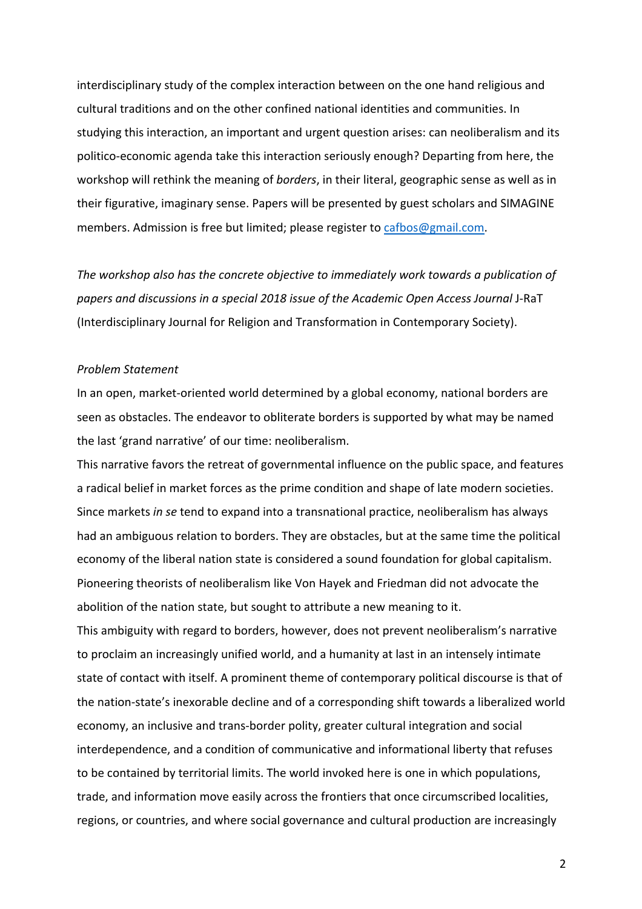interdisciplinary study of the complex interaction between on the one hand religious and cultural traditions and on the other confined national identities and communities. In studying this interaction, an important and urgent question arises: can neoliberalism and its politico-economic agenda take this interaction seriously enough? Departing from here, the workshop will rethink the meaning of *borders*, in their literal, geographic sense as well as in their figurative, imaginary sense. Papers will be presented by guest scholars and SIMAGINE members. Admission is free but limited; please register to cafbos@gmail.com.

The workshop also has the concrete objective to immediately work towards a publication of *papers and discussions in a special 2018 issue of the Academic Open Access Journal* J-RaT (Interdisciplinary Journal for Religion and Transformation in Contemporary Society).

#### *Problem Statement*

In an open, market-oriented world determined by a global economy, national borders are seen as obstacles. The endeavor to obliterate borders is supported by what may be named the last 'grand narrative' of our time: neoliberalism.

This narrative favors the retreat of governmental influence on the public space, and features a radical belief in market forces as the prime condition and shape of late modern societies. Since markets *in se* tend to expand into a transnational practice, neoliberalism has always had an ambiguous relation to borders. They are obstacles, but at the same time the political economy of the liberal nation state is considered a sound foundation for global capitalism. Pioneering theorists of neoliberalism like Von Hayek and Friedman did not advocate the abolition of the nation state, but sought to attribute a new meaning to it. This ambiguity with regard to borders, however, does not prevent neoliberalism's narrative

to proclaim an increasingly unified world, and a humanity at last in an intensely intimate state of contact with itself. A prominent theme of contemporary political discourse is that of the nation-state's inexorable decline and of a corresponding shift towards a liberalized world economy, an inclusive and trans-border polity, greater cultural integration and social interdependence, and a condition of communicative and informational liberty that refuses to be contained by territorial limits. The world invoked here is one in which populations, trade, and information move easily across the frontiers that once circumscribed localities, regions, or countries, and where social governance and cultural production are increasingly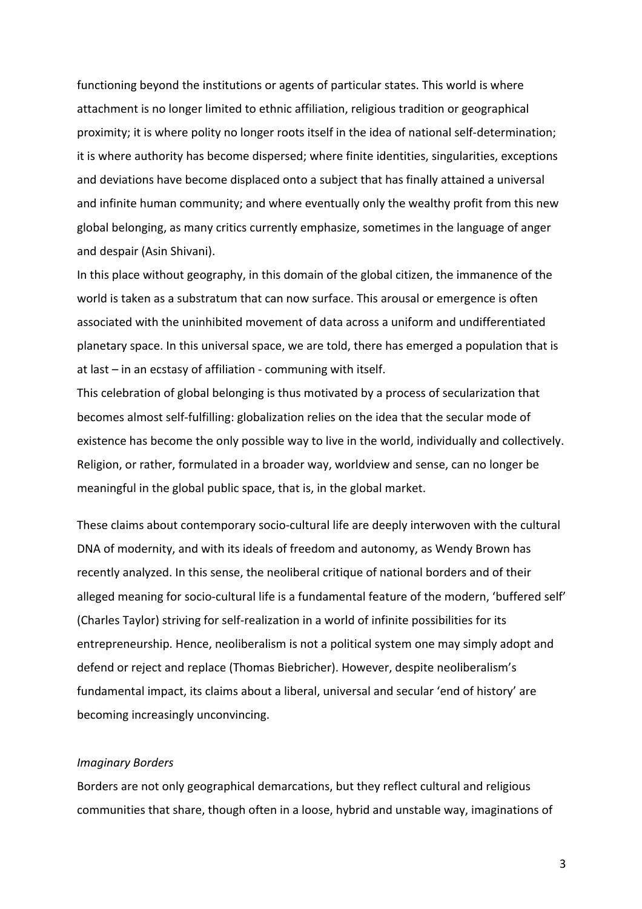functioning beyond the institutions or agents of particular states. This world is where attachment is no longer limited to ethnic affiliation, religious tradition or geographical proximity; it is where polity no longer roots itself in the idea of national self-determination; it is where authority has become dispersed; where finite identities, singularities, exceptions and deviations have become displaced onto a subject that has finally attained a universal and infinite human community; and where eventually only the wealthy profit from this new global belonging, as many critics currently emphasize, sometimes in the language of anger and despair (Asin Shivani).

In this place without geography, in this domain of the global citizen, the immanence of the world is taken as a substratum that can now surface. This arousal or emergence is often associated with the uninhibited movement of data across a uniform and undifferentiated planetary space. In this universal space, we are told, there has emerged a population that is at last  $-$  in an ecstasy of affiliation - communing with itself.

This celebration of global belonging is thus motivated by a process of secularization that becomes almost self-fulfilling: globalization relies on the idea that the secular mode of existence has become the only possible way to live in the world, individually and collectively. Religion, or rather, formulated in a broader way, worldview and sense, can no longer be meaningful in the global public space, that is, in the global market.

These claims about contemporary socio-cultural life are deeply interwoven with the cultural DNA of modernity, and with its ideals of freedom and autonomy, as Wendy Brown has recently analyzed. In this sense, the neoliberal critique of national borders and of their alleged meaning for socio-cultural life is a fundamental feature of the modern, 'buffered self' (Charles Taylor) striving for self-realization in a world of infinite possibilities for its entrepreneurship. Hence, neoliberalism is not a political system one may simply adopt and defend or reject and replace (Thomas Biebricher). However, despite neoliberalism's fundamental impact, its claims about a liberal, universal and secular 'end of history' are becoming increasingly unconvincing.

#### *Imaginary Borders*

Borders are not only geographical demarcations, but they reflect cultural and religious communities that share, though often in a loose, hybrid and unstable way, imaginations of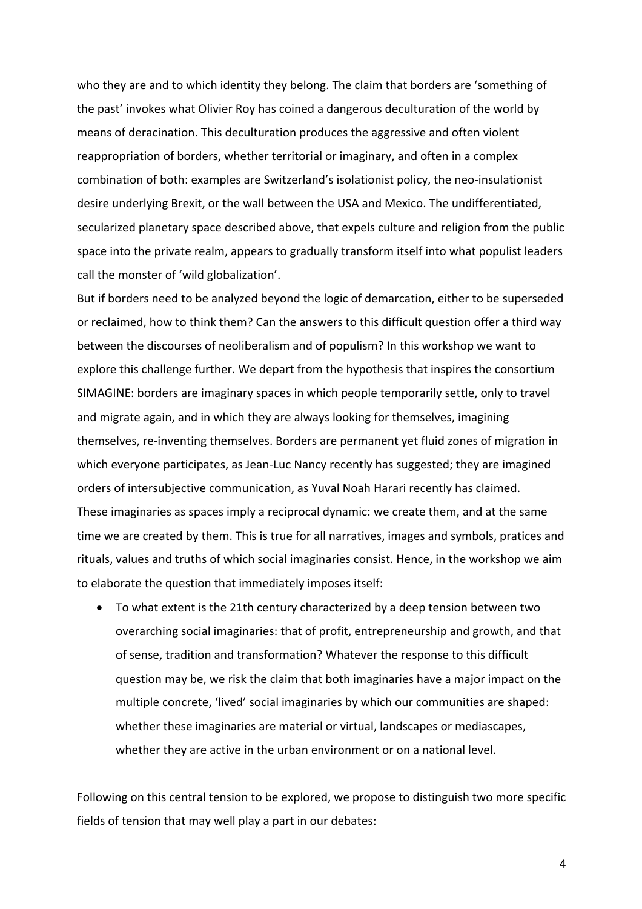who they are and to which identity they belong. The claim that borders are 'something of the past' invokes what Olivier Roy has coined a dangerous deculturation of the world by means of deracination. This deculturation produces the aggressive and often violent reappropriation of borders, whether territorial or imaginary, and often in a complex combination of both: examples are Switzerland's isolationist policy, the neo-insulationist desire underlying Brexit, or the wall between the USA and Mexico. The undifferentiated, secularized planetary space described above, that expels culture and religion from the public space into the private realm, appears to gradually transform itself into what populist leaders call the monster of 'wild globalization'.

But if borders need to be analyzed beyond the logic of demarcation, either to be superseded or reclaimed, how to think them? Can the answers to this difficult question offer a third way between the discourses of neoliberalism and of populism? In this workshop we want to explore this challenge further. We depart from the hypothesis that inspires the consortium SIMAGINE: borders are imaginary spaces in which people temporarily settle, only to travel and migrate again, and in which they are always looking for themselves, imagining themselves, re-inventing themselves. Borders are permanent yet fluid zones of migration in which everyone participates, as Jean-Luc Nancy recently has suggested; they are imagined orders of intersubjective communication, as Yuval Noah Harari recently has claimed. These imaginaries as spaces imply a reciprocal dynamic: we create them, and at the same time we are created by them. This is true for all narratives, images and symbols, pratices and rituals, values and truths of which social imaginaries consist. Hence, in the workshop we aim to elaborate the question that immediately imposes itself:

• To what extent is the 21th century characterized by a deep tension between two overarching social imaginaries: that of profit, entrepreneurship and growth, and that of sense, tradition and transformation? Whatever the response to this difficult question may be, we risk the claim that both imaginaries have a major impact on the multiple concrete, 'lived' social imaginaries by which our communities are shaped: whether these imaginaries are material or virtual, landscapes or mediascapes, whether they are active in the urban environment or on a national level.

Following on this central tension to be explored, we propose to distinguish two more specific fields of tension that may well play a part in our debates:

4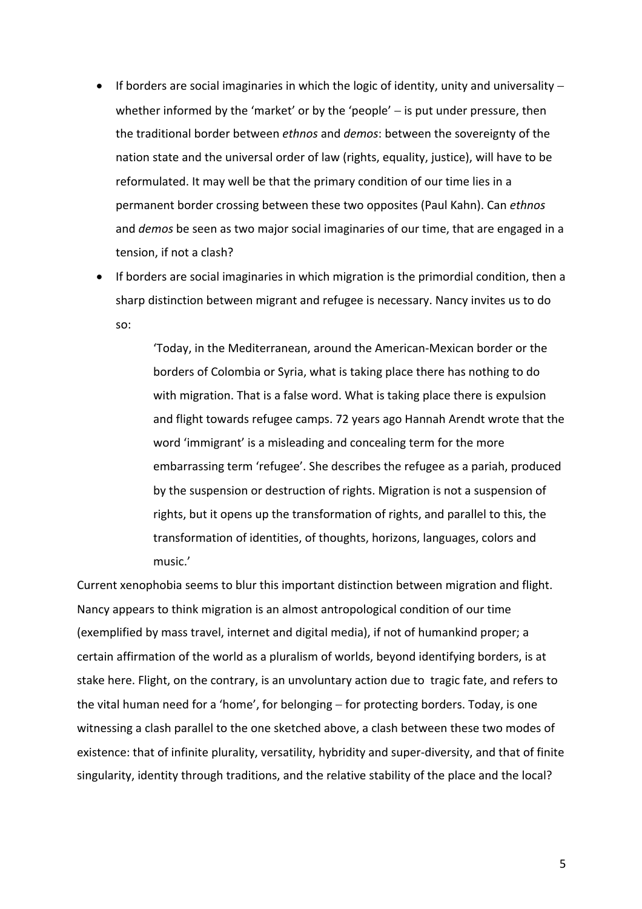- If borders are social imaginaries in which the logic of identity, unity and universality  $$ whether informed by the 'market' or by the 'people'  $-$  is put under pressure, then the traditional border between *ethnos* and *demos*: between the sovereignty of the nation state and the universal order of law (rights, equality, justice), will have to be reformulated. It may well be that the primary condition of our time lies in a permanent border crossing between these two opposites (Paul Kahn). Can ethnos and *demos* be seen as two major social imaginaries of our time, that are engaged in a tension, if not a clash?
- If borders are social imaginaries in which migration is the primordial condition, then a sharp distinction between migrant and refugee is necessary. Nancy invites us to do so:

'Today, in the Mediterranean, around the American-Mexican border or the borders of Colombia or Syria, what is taking place there has nothing to do with migration. That is a false word. What is taking place there is expulsion and flight towards refugee camps. 72 years ago Hannah Arendt wrote that the word 'immigrant' is a misleading and concealing term for the more embarrassing term 'refugee'. She describes the refugee as a pariah, produced by the suspension or destruction of rights. Migration is not a suspension of rights, but it opens up the transformation of rights, and parallel to this, the transformation of identities, of thoughts, horizons, languages, colors and music.'

Current xenophobia seems to blur this important distinction between migration and flight. Nancy appears to think migration is an almost antropological condition of our time (exemplified by mass travel, internet and digital media), if not of humankind proper; a certain affirmation of the world as a pluralism of worlds, beyond identifying borders, is at stake here. Flight, on the contrary, is an unvoluntary action due to tragic fate, and refers to the vital human need for a 'home', for belonging  $-$  for protecting borders. Today, is one witnessing a clash parallel to the one sketched above, a clash between these two modes of existence: that of infinite plurality, versatility, hybridity and super-diversity, and that of finite singularity, identity through traditions, and the relative stability of the place and the local?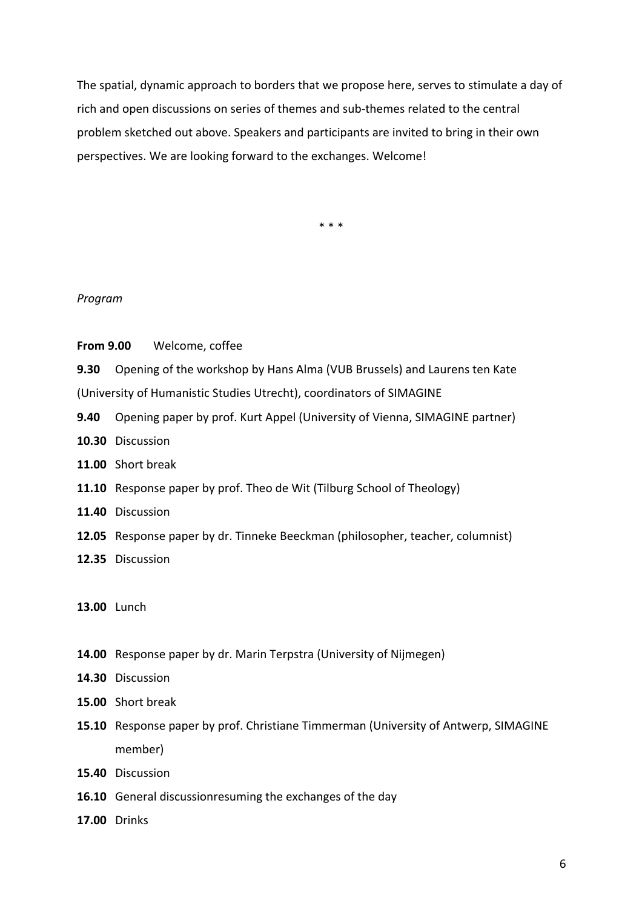The spatial, dynamic approach to borders that we propose here, serves to stimulate a day of rich and open discussions on series of themes and sub-themes related to the central problem sketched out above. Speakers and participants are invited to bring in their own perspectives. We are looking forward to the exchanges. Welcome!

\* \* \*

#### *Program*

**From 9.00** Welcome, coffee

**9.30** Opening of the workshop by Hans Alma (VUB Brussels) and Laurens ten Kate (University of Humanistic Studies Utrecht), coordinators of SIMAGINE

- **9.40** Opening paper by prof. Kurt Appel (University of Vienna, SIMAGINE partner)
- **10.30** Discussion
- 11.00 Short break
- **11.10** Response paper by prof. Theo de Wit (Tilburg School of Theology)
- **11.40** Discussion
- **12.05** Response paper by dr. Tinneke Beeckman (philosopher, teacher, columnist)
- **12.35** Discussion

### **13.00** Lunch

- **14.00** Response paper by dr. Marin Terpstra (University of Nijmegen)
- **14.30** Discussion
- **15.00** Short break
- **15.10** Response paper by prof. Christiane Timmerman (University of Antwerp, SIMAGINE member)
- **15.40** Discussion
- **16.10** General discussionresuming the exchanges of the day
- **17.00** Drinks